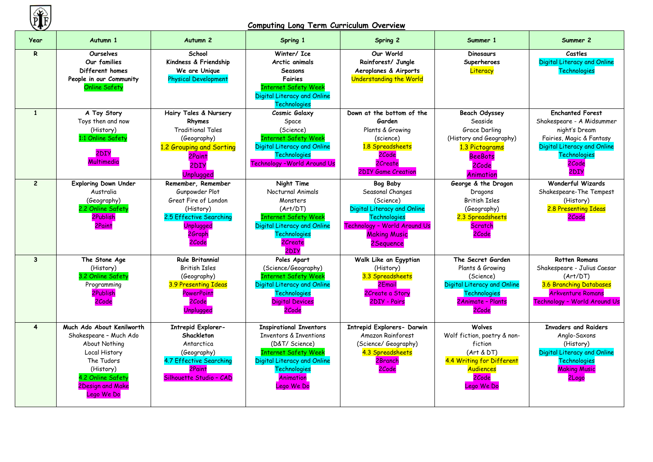

# **Computing Long Term Curriculum Overview**

| Year                    | Autumn 1                                                                                                                                                                       | Autumn <sub>2</sub>                                                                                                                     | Spring 1                                                                                                                                                                                       | <b>Spring 2</b>                                                                                                                                                             | Summer 1                                                                                                                               | Summer 2                                                                                                                                                                 |
|-------------------------|--------------------------------------------------------------------------------------------------------------------------------------------------------------------------------|-----------------------------------------------------------------------------------------------------------------------------------------|------------------------------------------------------------------------------------------------------------------------------------------------------------------------------------------------|-----------------------------------------------------------------------------------------------------------------------------------------------------------------------------|----------------------------------------------------------------------------------------------------------------------------------------|--------------------------------------------------------------------------------------------------------------------------------------------------------------------------|
| R                       | <b>Ourselves</b><br>Our families<br>Different homes<br>People in our Community<br><b>Online Safety</b>                                                                         | School<br>Kindness & Friendship<br>We are Unique<br><b>Physical Development</b>                                                         | Winter/ Ice<br>Arctic animals<br>Seasons<br>Fairies<br><b>Internet Safety Week</b><br>Digital Literacy and Online<br><b>Technologies</b>                                                       | Our World<br>Rainforest/ Jungle<br>Aeroplanes & Airports<br><b>Understanding the World</b>                                                                                  | <b>Dinosaurs</b><br>Superheroes<br>Literacy                                                                                            | Castles<br>Digital Literacy and Online<br><b>Technologies</b>                                                                                                            |
| $\mathbf{1}$            | A Toy Story<br>Toys then and now<br>(History)<br>1:1 Online Safety<br>2DIY<br>Multimedia                                                                                       | Hairy Tales & Nursery<br>Rhymes<br><b>Traditional Tales</b><br>(Geography)<br>1.2 Grouping and Sorting<br>2Paint<br>2DIY<br>Unplugged   | Cosmic Galaxy<br>Space<br>(Science)<br><b>Internet Safety Week</b><br>Digital Literacy and Online<br>Technologies<br><b>Technology - World Around Us</b>                                       | Down at the bottom of the<br>Garden<br>Plants & Growing<br>(science)<br>1.8 Spreadsheets<br>2Code<br>2Create<br><b>2DIY Game Creation</b>                                   | <b>Beach Odyssey</b><br>Seaside<br>Grace Darling<br>(History and Geography)<br>1.3 Pictograms<br><b>BeeBots</b><br>2Code<br>Animation  | <b>Enchanted Forest</b><br>Shakespeare - A Midsummer<br>night's Dream<br>Fairies, Magic & Fantasy<br>Digital Literacy and Online<br><b>Technologies</b><br>2Code<br>2DIY |
| 2 <sup>1</sup>          | <b>Exploring Down Under</b><br>Australia<br>(Geography)<br>2.2 Online Safety<br>2Publish<br>2Paint                                                                             | Remember, Remember<br>Gunpowder Plot<br>Great Fire of London<br>(History)<br>2.5 Effective Searching<br>Unplugged<br>2Graph<br>2Code    | Night Time<br>Nocturnal Animals<br>Monsters<br>(Art/DT)<br><b>Internet Safety Week</b><br>Digital Literacy and Online<br>Technologies<br>2Create<br>2DIY                                       | <b>Bog Baby</b><br>Seasonal Changes<br>(Science)<br>Digital Literacy and Online<br><b>Technologies</b><br>Technology - World Around Us<br><b>Making Music</b><br>2 Sequence | George & the Dragon<br>Dragons<br><b>British Isles</b><br>(Geography)<br>2.3 Spreadsheets<br>Scratch<br>2Code                          | <b>Wonderful Wizards</b><br>Shakespeare-The Tempest<br>(History)<br>2.8 Presenting Ideas<br>2Code                                                                        |
| $\mathbf{3}$            | The Stone Age<br>(History)<br>3.2 Online Safety<br>Programming<br>2Publish<br>2Code                                                                                            | <b>Rule Britannia!</b><br><b>British Isles</b><br>(Geography)<br><b>3.9 Presenting Ideas</b><br><b>PowerPoint</b><br>2Code<br>Unplugged | Poles Apart<br>(Science/Geography)<br><b>Internet Safety Week</b><br>Digital Literacy and Online<br>Technologies<br><b>Digital Devices</b><br>2Code                                            | Walk Like an Egyptian<br>(History)<br>3.3 Spreadsheets<br>2Email<br>2Create a Story<br>2DIY - Pairs                                                                         | The Secret Garden<br>Plants & Growing<br>(Science)<br>Digital Literacy and Online<br>Technologies<br>2Animate - Plants<br>2Code        | <b>Rotten Romans</b><br>Shakespeare - Julius Caesar<br>(Art/DT)<br>3.6 Branching Databases<br><b>Arkventure Romans</b><br>Technology - World Around Us                   |
| $\overline{\mathbf{4}}$ | Much Ado About Kenilworth<br>Shakespeare - Much Ado<br>About Nothing<br>Local History<br>The Tudors<br>(History)<br>4.2 Online Safety<br><b>2Design and Make</b><br>Lego We Do | <b>Intrepid Explorer-</b><br>Shackleton<br>Antarctica<br>(Geography)<br>4.7 Effective Searching<br>2Paint<br>Silhouette Studio - CAD    | <b>Inspirational Inventors</b><br><b>Inventors &amp; Inventions</b><br>(D&T/ Science)<br><b>Internet Safety Week</b><br>Digital Literacy and Online<br>Technologies<br>Animation<br>Lego We Do | Intrepid Explorers- Darwin<br><b>Amazon Rainforest</b><br>(Science/ Geography)<br>4.3 Spreadsheets<br>2Branch<br>2Code                                                      | Wolves<br>Wolf fiction, poetry & non-<br>fiction<br>(Art & DT)<br>4.4 Writing for Different<br><b>Audiences</b><br>2Code<br>Lego We Do | <b>Invaders and Raiders</b><br>Anglo-Saxons<br>(History)<br>Digital Literacy and Online<br><b>Technologies</b><br><b>Making Music</b><br>2Logo                           |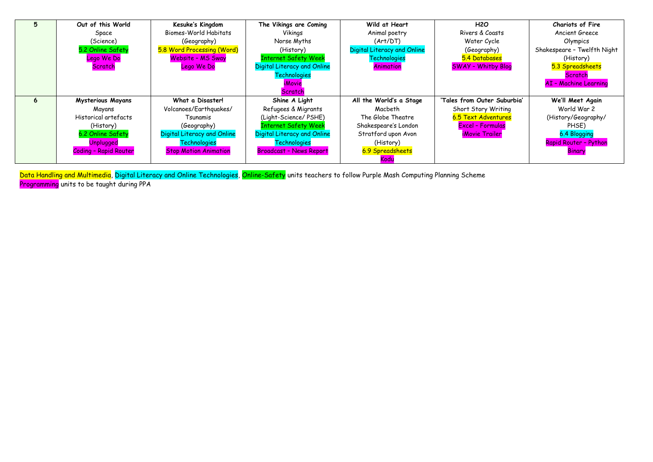| 5 | Out of this World            | Kesuke's Kingdom             | The Vikings are Coming         | Wild at Heart                      | <b>H2O</b>                   | <b>Chariots of Fire</b>      |
|---|------------------------------|------------------------------|--------------------------------|------------------------------------|------------------------------|------------------------------|
|   | Space                        | Biomes-World Habitats        | Vikings                        | Animal poetry                      | Rivers & Coasts              | Ancient Greece               |
|   | (Science)                    | (Geography)                  | Norse Myths                    | (Art/DT)                           | Water Cycle                  | Olympics                     |
|   | 5.2 Online Safety            | 5.8 Word Processing (Word)   | (History)                      | <b>Digital Literacy and Online</b> | (Geography)                  | Shakespeare - Twelfth Night  |
|   | Lego We Do                   | Website - MS Sway            | <b>Internet Safety Week</b>    | Technologies                       | 5.4 Databases                | (History)                    |
|   | Scratch                      | Lego We Do                   | Digital Literacy and Online    | Animation                          | <b>SWAY - Whitby Blog</b>    | 5.3 Spreadsheets             |
|   |                              |                              | Technologies                   |                                    |                              | Scratch                      |
|   |                              |                              | <i><b>iMovie</b></i>           |                                    |                              | <b>AI - Machine Learning</b> |
|   |                              |                              | Scratch                        |                                    |                              |                              |
| 6 | <b>Mysterious Mayans</b>     | What a Disaster!             | Shine A Light                  | All the World's a Stage            | 'Tales from Outer Suburbia'  | We'll Meet Again             |
|   | Mayans                       | Volcanoes/Earthquakes/       | Refugees & Migrants            | Macbeth                            | Short Story Writing          | World War 2                  |
|   | Historical artefacts         | Tsunamis                     | (Light-Science/PSHE)           | The Globe Theatre                  | 6.5 Text Adventures          | (History/Geography/          |
|   | (History)                    | (Geography)                  | <b>Internet Safety Week</b>    | Shakespeare's London               | Excel - Formulas             | PHSE)                        |
|   | 6.2 Online Safety            | Digital Literacy and Online  | Digital Literacy and Online    | Stratford upon Avon                | <i><b>iMovie Trailer</b></i> | 6.4 Blogging                 |
|   | <b>Unplugged</b>             | Technologies                 | Technologies                   | (History)                          |                              | Rapid Router - Python        |
|   | <b>Coding - Rapid Router</b> | <b>Stop Motion Animation</b> | <b>Broadcast - News Report</b> | 6.9 Spreadsheets                   |                              | Binary                       |
|   |                              |                              |                                | Kodu                               |                              |                              |

Data Handling and Multimedia, Digital Literacy and Online Technologies, Online-Safety units teachers to follow Purple Mash Computing Planning Scheme Programming units to be taught during PPA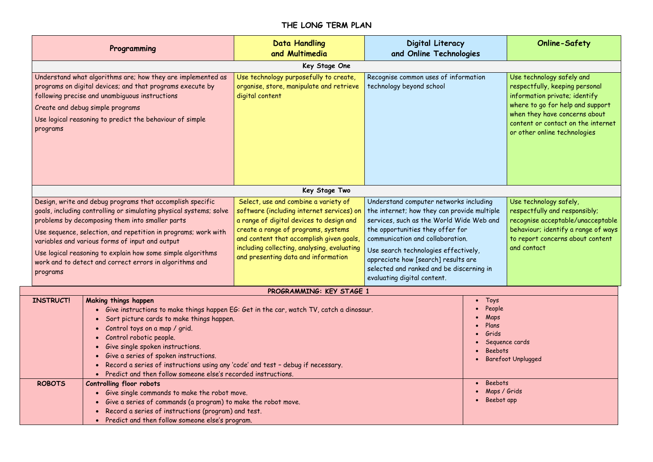# **THE LONG TERM PLAN**

| Programming                                                                                                                                                                                                                                                                                                                                                                                                                                                                        | <b>Data Handling</b><br>Digital Literacy<br>and Multimedia<br>and Online Technologies                                                                                                                                                                                                                  |                                                                                                                                                                                                                                                                                                                                                                     | <b>Online-Safety</b>                                                                                                                                                                                                                    |
|------------------------------------------------------------------------------------------------------------------------------------------------------------------------------------------------------------------------------------------------------------------------------------------------------------------------------------------------------------------------------------------------------------------------------------------------------------------------------------|--------------------------------------------------------------------------------------------------------------------------------------------------------------------------------------------------------------------------------------------------------------------------------------------------------|---------------------------------------------------------------------------------------------------------------------------------------------------------------------------------------------------------------------------------------------------------------------------------------------------------------------------------------------------------------------|-----------------------------------------------------------------------------------------------------------------------------------------------------------------------------------------------------------------------------------------|
|                                                                                                                                                                                                                                                                                                                                                                                                                                                                                    | Key Stage One                                                                                                                                                                                                                                                                                          |                                                                                                                                                                                                                                                                                                                                                                     |                                                                                                                                                                                                                                         |
| Understand what algorithms are; how they are implemented as<br>programs on digital devices; and that programs execute by<br>following precise and unambiguous instructions<br>Create and debug simple programs<br>Use logical reasoning to predict the behaviour of simple<br>programs                                                                                                                                                                                             | Use technology purposefully to create,<br>organise, store, manipulate and retrieve<br>digital content                                                                                                                                                                                                  | Recognise common uses of information<br>technology beyond school                                                                                                                                                                                                                                                                                                    | Use technology safely and<br>respectfully, keeping personal<br>information private; identify<br>where to go for help and support<br>when they have concerns about<br>content or contact on the internet<br>or other online technologies |
|                                                                                                                                                                                                                                                                                                                                                                                                                                                                                    | Key Stage Two                                                                                                                                                                                                                                                                                          |                                                                                                                                                                                                                                                                                                                                                                     |                                                                                                                                                                                                                                         |
| Design, write and debug programs that accomplish specific<br>goals, including controlling or simulating physical systems; solve<br>problems by decomposing them into smaller parts<br>Use sequence, selection, and repetition in programs; work with<br>variables and various forms of input and output<br>Use logical reasoning to explain how some simple algorithms<br>work and to detect and correct errors in algorithms and<br>programs                                      | Select, use and combine a variety of<br>software (including internet services) on<br>a range of digital devices to design and<br>create a range of programs, systems<br>and content that accomplish given goals,<br>including collecting, analysing, evaluating<br>and presenting data and information | Understand computer networks including<br>the internet; how they can provide multiple<br>services, such as the World Wide Web and<br>the opportunities they offer for<br>communication and collaboration.<br>Use search technologies effectively,<br>appreciate how [search] results are<br>selected and ranked and be discerning in<br>evaluating digital content. | Use technology safely,<br>respectfully and responsibly;<br>recognise acceptable/unacceptable<br>behaviour; identify a range of ways<br>to report concerns about content<br>and contact                                                  |
|                                                                                                                                                                                                                                                                                                                                                                                                                                                                                    | PROGRAMMING: KEY STAGE 1                                                                                                                                                                                                                                                                               |                                                                                                                                                                                                                                                                                                                                                                     |                                                                                                                                                                                                                                         |
| <b>INSTRUCT!</b><br>Making things happen<br>Give instructions to make things happen $EG$ : Get in the car, watch TV, catch a dinosaur.<br>Sort picture cards to make things happen.<br>• Control toys on a map / grid.<br>Control robotic people.<br>Give single spoken instructions.<br>Give a series of spoken instructions.<br>Record a series of instructions using any 'code' and test - debug if necessary.<br>Predict and then follow someone else's recorded instructions. |                                                                                                                                                                                                                                                                                                        | • Toys<br>• People<br>Maps<br>Plans<br>Grids<br><b>Beebots</b>                                                                                                                                                                                                                                                                                                      | Sequence cards<br><b>Barefoot Unplugged</b>                                                                                                                                                                                             |
| <b>ROBOTS</b><br><b>Controlling floor robots</b><br>• Give single commands to make the robot move.<br>Give a series of commands (a program) to make the robot move.<br>Record a series of instructions (program) and test.<br>• Predict and then follow someone else's program.                                                                                                                                                                                                    |                                                                                                                                                                                                                                                                                                        | Beebots<br>$\bullet$<br>Maps / Grids<br>Beebot app<br>$\bullet$                                                                                                                                                                                                                                                                                                     |                                                                                                                                                                                                                                         |

- 
- 
- 
- 
- 
-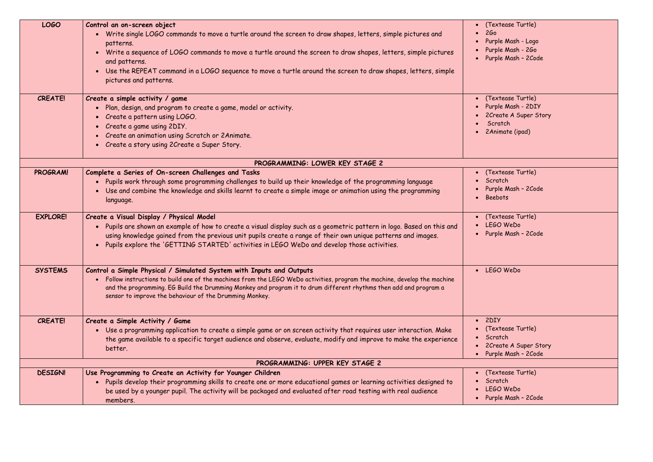| <b>LOGO</b>     | Control an on-screen object<br>• Write single LOGO commands to move a turtle around the screen to draw shapes, letters, simple pictures and<br>patterns.<br>Write a sequence of LOGO commands to move a turtle around the screen to draw shapes, letters, simple pictures<br>$\bullet$<br>and patterns.<br>Use the REPEAT command in a LOGO sequence to move a turtle around the screen to draw shapes, letters, simple<br>$\bullet$<br>pictures and patterns. | $\bullet$ (Te:<br>260<br>Purp<br>Purp<br>Purp |
|-----------------|----------------------------------------------------------------------------------------------------------------------------------------------------------------------------------------------------------------------------------------------------------------------------------------------------------------------------------------------------------------------------------------------------------------------------------------------------------------|-----------------------------------------------|
| <b>CREATE!</b>  | Create a simple activity / game<br>Plan, design, and program to create a game, model or activity.<br>• Create a pattern using LOGO.<br>• Create a game using 2DIY.<br>• Create an animation using Scratch or 2Animate.<br>Create a story using 2Create a Super Story.                                                                                                                                                                                          | $\bullet$ (Te:<br>Purp<br>2Cr<br>Scr<br>2Ar   |
|                 | PROGRAMMING: LOWER KEY STAGE 2                                                                                                                                                                                                                                                                                                                                                                                                                                 |                                               |
| PROGRAM!        | Complete a Series of On-screen Challenges and Tasks<br>. Pupils work through some programming challenges to build up their knowledge of the programming language<br>Use and combine the knowledge and skills learnt to create a simple image or animation using the programming<br>language.                                                                                                                                                                   | $\bullet$ (Te:<br>Scr<br>Purp<br>Bee          |
| <b>EXPLORE!</b> | Create a Visual Display / Physical Model<br>Pupils are shown an example of how to create a visual display such as a geometric pattern in logo. Based on this and<br>using knowledge gained from the previous unit pupils create a range of their own unique patterns and images.<br>Pupils explore the 'GETTING STARTED' activities in LEGO WeDo and develop those activities.<br>$\bullet$                                                                    | $\bullet$ (Te:<br><b>LEG</b><br>Purp          |
| <b>SYSTEMS</b>  | Control a Simple Physical / Simulated System with Inputs and Outputs<br>Follow instructions to build one of the machines from the LEGO WeDo activities, program the machine, develop the machine<br>and the programming. EG Build the Drumming Monkey and program it to drum different rhythms then add and program a<br>sensor to improve the behaviour of the Drumming Monkey.                                                                               | $\bullet$ LEG                                 |
| <b>CREATE!</b>  | Create a Simple Activity / Game<br>• Use a programming application to create a simple game or on screen activity that requires user interaction. Make<br>the game available to a specific target audience and observe, evaluate, modify and improve to make the experience<br>better.                                                                                                                                                                          | 2DI<br>(Te:<br>Scr<br>2Cr<br>Purp             |
|                 | PROGRAMMING: UPPER KEY STAGE 2                                                                                                                                                                                                                                                                                                                                                                                                                                 |                                               |
| <b>DESIGN!</b>  | Use Programming to Create an Activity for Younger Children<br>Pupils develop their programming skills to create one or more educational games or learning activities designed to<br>$\bullet$<br>be used by a younger pupil. The activity will be packaged and evaluated after road testing with real audience<br>members.                                                                                                                                     | (Te<br>Scr<br><b>LEG</b><br>Purp              |

extease Turtle) rple Mash - Logo .<br>rple Mash - 2Go rple Mash – 2Code extease Turtle) rple Mash - 2DIY reate A Super Story<sup>.</sup> cratch 2Animate (ipad) extease Turtle) ratch rple Mash – 2Code ebots extease Turtle) LEGO WeDo rple Mash – 2Code LEGO WeDo  $\overline{\text{IY}}$ extease Turtle) ratch reate A Super Story<sup>:</sup> rple Mash – 2Code extease Turtle)  $\mathsf{match}^{\dagger}$  LEGO WeDo rple Mash – 2Code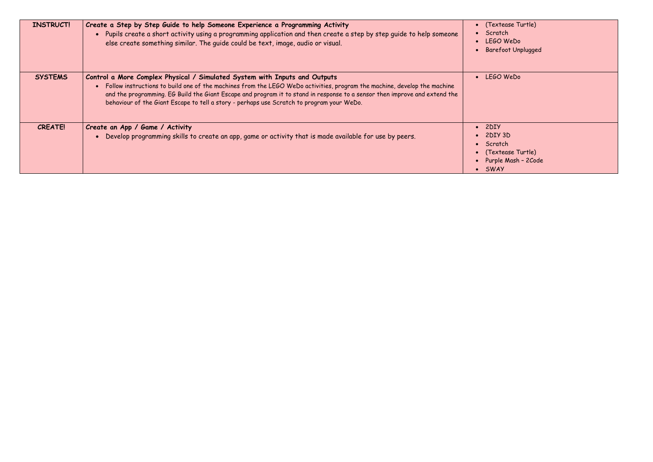extease Turtle) LEGO WeDo Barefoot Unplugged

extease Turtle) Purple Mash – 2Code

| <b>INSTRUCT!</b> | Create a Step by Step Guide to help Someone Experience a Programming Activity<br>. Pupils create a short activity using a programming application and then create a step by step quide to help someone<br>else create something similar. The guide could be text, image, audio or visual.                                                                                                                                           | • (Texteas<br>• Scratch<br>• LEGOW<br>Barefoot                                         |
|------------------|-------------------------------------------------------------------------------------------------------------------------------------------------------------------------------------------------------------------------------------------------------------------------------------------------------------------------------------------------------------------------------------------------------------------------------------|----------------------------------------------------------------------------------------|
| <b>SYSTEMS</b>   | Control a More Complex Physical / Simulated System with Inputs and Outputs<br>• Follow instructions to build one of the machines from the LEGO WeDo activities, program the machine, develop the machine<br>and the programming. EG Build the Giant Escape and program it to stand in response to a sensor then improve and extend the<br>behaviour of the Giant Escape to tell a story - perhaps use Scratch to program your WeDo. | • LEGOW                                                                                |
| <b>CREATE!</b>   | Create an App / Game / Activity<br>• Develop programming skills to create an app, game or activity that is made available for use by peers.                                                                                                                                                                                                                                                                                         | $\bullet$ 2DIY<br>$\bullet$ 2DIY 3D<br>• Scratch<br>• (Texteas<br>• Purple M<br>• SWAY |

LEGO WeDo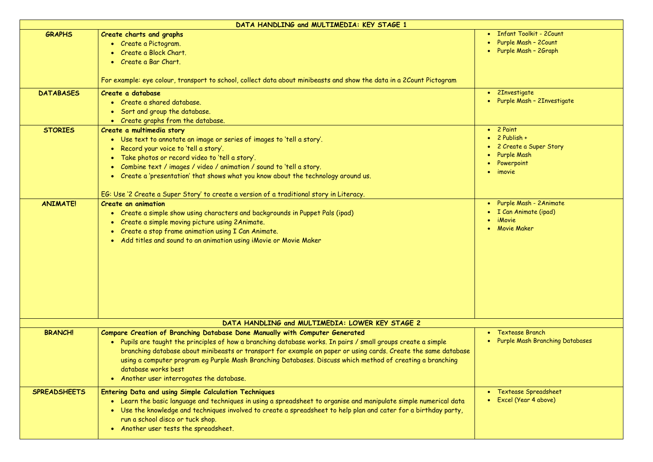Infant Toolkit - 2Count Purple Mash – 2Count Purple Mash – 2Graph

**•** 2Investigate • Purple Mash - 2Investigate

2 Paint 2 Publish + 2 Create a Super Story Purple Mash Powerpoint imovie

|                     | DATA HANDLING and MULTIMEDIA: KEY STAGE 1                                                                                                                                                                                                                                                                                                                                                                                                                                                        |  |
|---------------------|--------------------------------------------------------------------------------------------------------------------------------------------------------------------------------------------------------------------------------------------------------------------------------------------------------------------------------------------------------------------------------------------------------------------------------------------------------------------------------------------------|--|
| <b>GRAPHS</b>       | Create charts and graphs<br>• Create a Pictogram.<br>• Create a Block Chart.<br>• Create a Bar Chart.                                                                                                                                                                                                                                                                                                                                                                                            |  |
|                     | For example: eye colour, transport to school, collect data about minibeasts and show the data in a 2Count Pictogram                                                                                                                                                                                                                                                                                                                                                                              |  |
| <b>DATABASES</b>    | Create a database<br>• Create a shared database.<br>• Sort and group the database.<br>• Create graphs from the database.                                                                                                                                                                                                                                                                                                                                                                         |  |
| <b>STORIES</b>      | Create a multimedia story<br>• Use text to annotate an image or series of images to 'tell a story'.<br>• Record your voice to 'tell a story'.<br>• Take photos or record video to 'tell a story'.<br>• Combine text / images / video / animation / sound to 'tell a story.<br>• Create a 'presentation' that shows what you know about the technology around us.<br>EG: Use '2 Create a Super Story' to create a version of a traditional story in Literacy.                                     |  |
| <b>ANIMATE!</b>     | <b>Create an animation</b><br>• Create a simple show using characters and backgrounds in Puppet Pals (ipad)<br>• Create a simple moving picture using 2Animate.<br>• Create a stop frame animation using I Can Animate.<br>• Add titles and sound to an animation using iMovie or Movie Maker                                                                                                                                                                                                    |  |
|                     | DATA HANDLING and MULTIMEDIA: LOWER KEY STAGE 2                                                                                                                                                                                                                                                                                                                                                                                                                                                  |  |
| <b>BRANCH!</b>      | Compare Creation of Branching Database Done Manually with Computer Generated<br>• Pupils are taught the principles of how a branching database works. In pairs / small groups create a simple<br>branching database about minibeasts or transport for example on paper or using cards. Create the same database<br>using a computer program eg Purple Mash Branching Databases. Discuss which method of creating a branching<br>database works best<br>• Another user interrogates the database. |  |
| <b>SPREADSHEETS</b> | <b>Entering Data and using Simple Calculation Techniques</b><br>• Learn the basic language and techniques in using a spreadsheet to organise and manipulate simple numerical data<br>Use the knowledge and techniques involved to create a spreadsheet to help plan and cater for a birthday party,<br>run a school disco or tuck shop.<br>• Another user tests the spreadsheet.                                                                                                                 |  |

 Purple Mash - 2Animate I Can Animate (ipad) iMovie Movie Maker

 Textease Branch Purple Mash Branching Databases

 Textease Spreadsheet Excel (Year 4 above)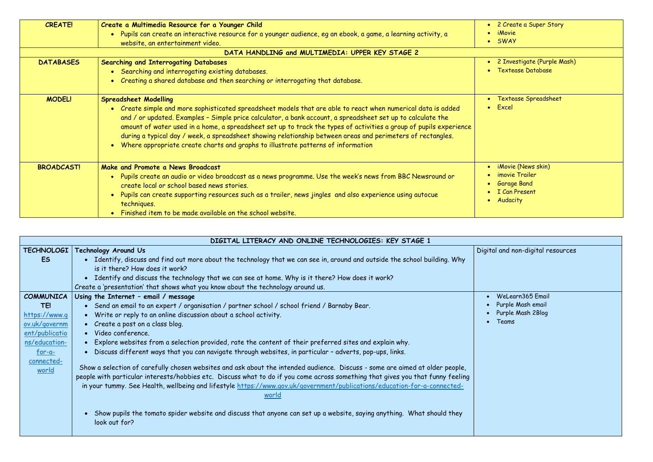| • 2 Create a Super Story |
|--------------------------|
| • iMovie                 |
| $\bullet$ SWAY           |

 2 Investigate (Purple Mash) Textease Database

| <b>CREATE!</b>    | Create a Multimedia Resource for a Younger Child<br>. Pupils can create an interactive resource for a younger audience, eg an ebook, a game, a learning activity, a<br>website, an entertainment video.                                                                                                                                                                                                                                                                                                                                                                                 |  |
|-------------------|-----------------------------------------------------------------------------------------------------------------------------------------------------------------------------------------------------------------------------------------------------------------------------------------------------------------------------------------------------------------------------------------------------------------------------------------------------------------------------------------------------------------------------------------------------------------------------------------|--|
|                   | DATA HANDLING and MULTIMEDIA: UPPER KEY STAGE 2                                                                                                                                                                                                                                                                                                                                                                                                                                                                                                                                         |  |
| <b>DATABASES</b>  | <b>Searching and Interrogating Databases</b><br>• Searching and interrogating existing databases.<br>• Creating a shared database and then searching or interrogating that database.                                                                                                                                                                                                                                                                                                                                                                                                    |  |
| <b>MODEL!</b>     | <b>Spreadsheet Modelling</b><br>• Create simple and more sophisticated spreadsheet models that are able to react when numerical data is added<br>and / or updated. Examples - Simple price calculator, a bank account, a spreadsheet set up to calculate the<br>amount of water used in a home, a spreadsheet set up to track the types of activities a group of pupils experience<br>during a typical day / week, a spreadsheet showing relationship between areas and perimeters of rectangles.<br>• Where appropriate create charts and graphs to illustrate patterns of information |  |
| <b>BROADCAST!</b> | Make and Promote a News Broadcast<br>. Pupils create an audio or video broadcast as a news programme. Use the week's news from BBC Newsround or<br>create local or school based news stories.<br>Pupils can create supporting resources such as a trailer, news jingles and also experience using autocue<br>techniques.<br>Finished item to be made available on the school website.                                                                                                                                                                                                   |  |

 Textease Spreadsheet Excel

 iMovie (News skin) imovie Trailer Garage Band I Can Present Audacity

tal and non-digital resources

|                         | DIGITAL LITERACY AND ONLINE TECHNOLOGIES: KEY STAGE 1                                                                                                                                                                                                                                                                                                                                                |              |
|-------------------------|------------------------------------------------------------------------------------------------------------------------------------------------------------------------------------------------------------------------------------------------------------------------------------------------------------------------------------------------------------------------------------------------------|--------------|
| <b>TECHNOLOGI</b>       | <b>Technology Around Us</b>                                                                                                                                                                                                                                                                                                                                                                          | <b>Digit</b> |
| <b>ES</b>               | • Identify, discuss and find out more about the technology that we can see in, around and outside the school building. Why<br>is it there? How does it work?                                                                                                                                                                                                                                         |              |
|                         | • Identify and discuss the technology that we can see at home. Why is it there? How does it work?                                                                                                                                                                                                                                                                                                    |              |
|                         | Create a 'presentation' that shows what you know about the technology around us.                                                                                                                                                                                                                                                                                                                     |              |
| <b>COMMUNICA</b>        | Using the Internet - email / message                                                                                                                                                                                                                                                                                                                                                                 |              |
| TE!                     | Send an email to an expert / organisation / partner school / school friend / Barnaby Bear.<br>$\bullet$                                                                                                                                                                                                                                                                                              |              |
| https://www.q           | Write or reply to an online discussion about a school activity.<br>$\bullet$                                                                                                                                                                                                                                                                                                                         |              |
| ov.uk/governm           | Create a post on a class blog.<br>$\bullet$                                                                                                                                                                                                                                                                                                                                                          |              |
| ent/publicatio          | • Video conference.                                                                                                                                                                                                                                                                                                                                                                                  |              |
| ns/education-           | Explore websites from a selection provided, rate the content of their preferred sites and explain why.<br>$\bullet$                                                                                                                                                                                                                                                                                  |              |
| $for -a-$<br>connected- | Discuss different ways that you can navigate through websites, in particular - adverts, pop-ups, links.<br>$\bullet$                                                                                                                                                                                                                                                                                 |              |
| world                   | Show a selection of carefully chosen websites and ask about the intended audience. Discuss - some are aimed at older people,<br>people with particular interests/hobbies etc. Discuss what to do if you come across something that gives you that funny feeling<br>in your tummy. See Health, wellbeing and lifestyle https://www.gov.uk/government/publications/education-for-a-connected-<br>world |              |
|                         | Show pupils the tomato spider website and discuss that anyone can set up a website, saying anything. What should they<br>look out for?                                                                                                                                                                                                                                                               |              |

 WeLearn365 Email Purple Mash email Purple Mash 2Blog Teams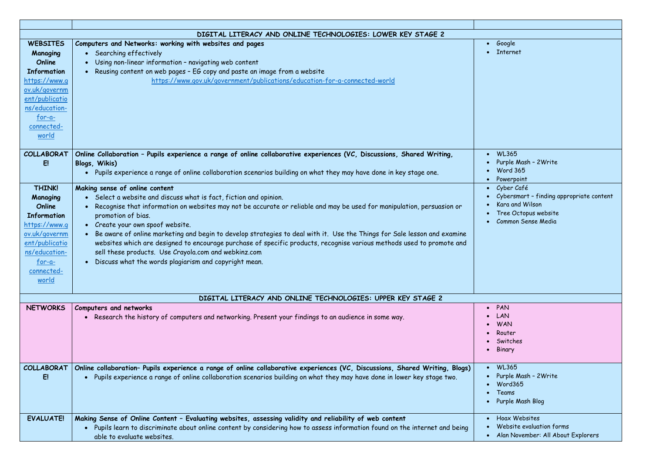### Google Internet

| $\bullet$ | <b>WL365</b>                             |
|-----------|------------------------------------------|
| $\bullet$ | Purple Mash - 2 Write                    |
|           | $\bullet$ Word 365                       |
|           | • Powerpoint                             |
|           | • Cyber Café                             |
| $\bullet$ | Cybersmart - finding appropriate content |
| $\bullet$ | Kara and Wilson                          |
|           | • Tree Octopus website                   |
| $\bullet$ | Common Sense Media                       |

|                                                                                                                                                                      | DIGITAL LITERACY AND ONLINE TECHNOLOGIES: LOWER KEY STAGE 2                                                                                                                                                                                                                                                                                                                                                                                                                                                                                                                                                                                                                                                     |  |
|----------------------------------------------------------------------------------------------------------------------------------------------------------------------|-----------------------------------------------------------------------------------------------------------------------------------------------------------------------------------------------------------------------------------------------------------------------------------------------------------------------------------------------------------------------------------------------------------------------------------------------------------------------------------------------------------------------------------------------------------------------------------------------------------------------------------------------------------------------------------------------------------------|--|
| <b>WEBSITES</b><br>Managing<br>Online<br><b>Information</b><br>https://www.q<br>ov.uk/governm<br>ent/publicatio<br>ns/education-<br>$for -a-$<br>connected-<br>world | Computers and Networks: working with websites and pages<br>• Searching effectively<br>Using non-linear information - navigating web content<br>$\bullet$<br>Reusing content on web pages - EG copy and paste an image from a website<br>https://www.gov.uk/government/publications/education-for-a-connected-world                                                                                                                                                                                                                                                                                                                                                                                              |  |
| <b>COLLABORAT</b><br>E!                                                                                                                                              | Online Collaboration - Pupils experience a range of online collaborative experiences (VC, Discussions, Shared Writing,<br>Blogs, Wikis)<br>Pupils experience a range of online collaboration scenarios building on what they may have done in key stage one.                                                                                                                                                                                                                                                                                                                                                                                                                                                    |  |
| <b>THINK!</b><br>Managing<br>Online<br><b>Information</b><br>https://www.q<br>ov.uk/governm<br>ent/publicatio<br>ns/education-<br>$for -a-$<br>connected-<br>world   | Making sense of online content<br>• Select a website and discuss what is fact, fiction and opinion.<br>Recognise that information on websites may not be accurate or reliable and may be used for manipulation, persuasion or<br>$\bullet$<br>promotion of bias.<br>Create your own spoof website.<br>$\bullet$<br>Be aware of online marketing and begin to develop strategies to deal with it. Use the Things for Sale lesson and examine<br>$\bullet$<br>websites which are designed to encourage purchase of specific products, recognise various methods used to promote and<br>sell these products. Use Crayola.com and webkinz.com<br>Discuss what the words plagiarism and copyright mean.<br>$\bullet$ |  |
|                                                                                                                                                                      | DIGITAL LITERACY AND ONLINE TECHNOLOGIES: UPPER KEY STAGE 2                                                                                                                                                                                                                                                                                                                                                                                                                                                                                                                                                                                                                                                     |  |
| <b>NETWORKS</b>                                                                                                                                                      | Computers and networks<br>Research the history of computers and networking. Present your findings to an audience in some way.                                                                                                                                                                                                                                                                                                                                                                                                                                                                                                                                                                                   |  |
| <b>COLLABORAT</b><br>E!                                                                                                                                              | Online collaboration- Pupils experience a range of online collaborative experiences (VC, Discussions, Shared Writing, Blogs)<br>Pupils experience a range of online collaboration scenarios building on what they may have done in lower key stage two.<br>$\bullet$                                                                                                                                                                                                                                                                                                                                                                                                                                            |  |
| <b>EVALUATE!</b>                                                                                                                                                     | Making Sense of Online Content - Evaluating websites, assessing validity and reliability of web content<br>Pupils learn to discriminate about online content by considering how to assess information found on the internet and being<br>$\bullet$<br>able to evaluate websites.                                                                                                                                                                                                                                                                                                                                                                                                                                |  |

| PAN                                |
|------------------------------------|
| LAN                                |
| <b>WAN</b>                         |
| Router                             |
| Switches                           |
| Binary                             |
|                                    |
| <b>WL365</b>                       |
| Purple Mash - 2 Write              |
| Word365                            |
| Teams                              |
| Purple Mash Blog                   |
|                                    |
| <b>Hoax Websites</b>               |
| Website evaluation forms           |
| Alan November: All About Explorers |
|                                    |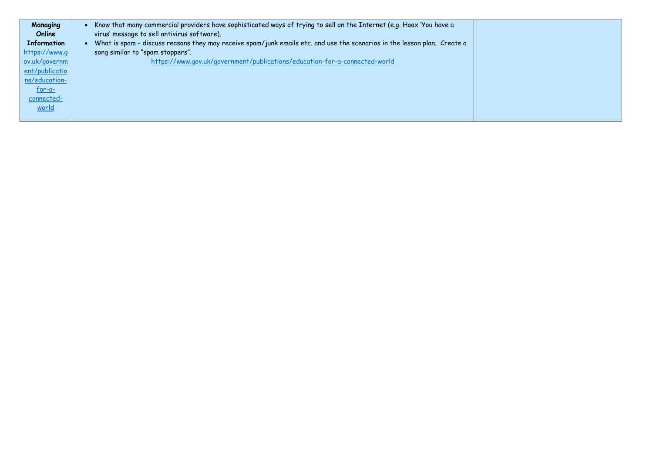| Managing           | Know that many commercial providers have sophisticated ways of trying to sell on the Internet (e.g. Hoax 'You have a     |
|--------------------|--------------------------------------------------------------------------------------------------------------------------|
| Online             | virus' message to sell antivirus software).                                                                              |
| <b>Information</b> | What is spam - discuss reasons they may receive spam/junk emails etc. and use the scenarios in the lesson plan. Create a |
| https://www.q      | song similar to "spam stoppers".                                                                                         |
| ov.uk/governm      | https://www.gov.uk/government/publications/education-for-a-connected-world                                               |
| ent/publicatio     |                                                                                                                          |
| ns/education-      |                                                                                                                          |
| $for -a-$          |                                                                                                                          |
| connected-         |                                                                                                                          |
| world              |                                                                                                                          |
|                    |                                                                                                                          |

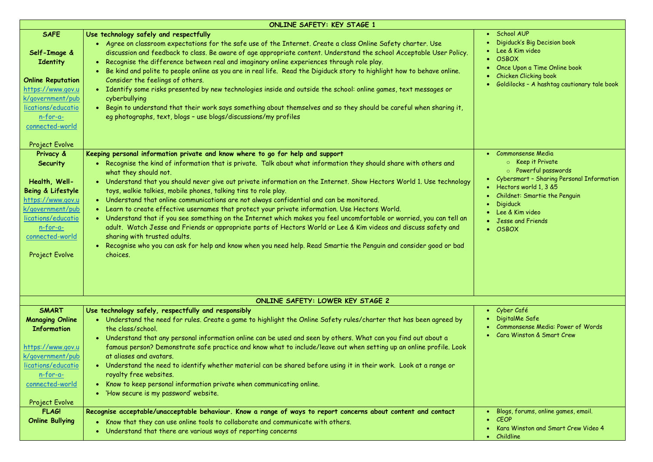School AUP Digiduck's Big Decision book Lee & Kim video **OSBOX**  Once Upon a Time Online book Chicken Clicking book Goldilocks – A hashtag cautionary tale book

 Commonsense Media o Keep it Private o Powerful passwords Cybersmart – Sharing Personal Information Hectors world 1, 3 &5 Childnet: Smartie the Penguin Digiduck Lee & Kim video Jesse and Friends **OSBOX** 

|                                                                                                                                                                                                                | <b>ONLINE SAFETY: KEY STAGE 1</b>                                                                                                                                                                                                                                                                                                                                                                                                                                                                                                                                                                                                                                                                                                                                                                                                                                                                                                                                                                                                  |  |
|----------------------------------------------------------------------------------------------------------------------------------------------------------------------------------------------------------------|------------------------------------------------------------------------------------------------------------------------------------------------------------------------------------------------------------------------------------------------------------------------------------------------------------------------------------------------------------------------------------------------------------------------------------------------------------------------------------------------------------------------------------------------------------------------------------------------------------------------------------------------------------------------------------------------------------------------------------------------------------------------------------------------------------------------------------------------------------------------------------------------------------------------------------------------------------------------------------------------------------------------------------|--|
| <b>SAFE</b><br>Self-Image &<br>Identity<br><b>Online Reputation</b><br>https://www.gov.u<br>k/government/pub<br>lications/educatio<br>$n$ -for-a-<br>connected-world                                           | Use technology safely and respectfully<br>. Agree on classroom expectations for the safe use of the Internet. Create a class Online Safety charter. Use<br>discussion and feedback to class. Be aware of age appropriate content. Understand the school Acceptable User Policy.<br>Recognise the difference between real and imaginary online experiences through role play.<br>Be kind and polite to people online as you are in real life. Read the Digiduck story to highlight how to behave online.<br>Consider the feelings of others.<br>Identify some risks presented by new technologies inside and outside the school: online games, text messages or<br>cyberbullying<br>. Begin to understand that their work says something about themselves and so they should be careful when sharing it,<br>eg photographs, text, blogs - use blogs/discussions/my profiles                                                                                                                                                         |  |
| Project Evolve<br>Privacy &<br><b>Security</b><br>Health, Well-<br>Being & Lifestyle<br>https://www.gov.u<br>k/government/pub<br>lications/educatio<br>$n$ -for-a-<br>connected-world<br><b>Project Evolve</b> | Keeping personal information private and know where to go for help and support<br>Recognise the kind of information that is private. Talk about what information they should share with others and<br>what they should not.<br>Understand that you should never give out private information on the Internet. Show Hectors World 1. Use technology<br>toys, walkie talkies, mobile phones, talking tins to role play.<br>. Understand that online communications are not always confidential and can be monitored.<br>• Learn to create effective usernames that protect your private information. Use Hectors World.<br>• Understand that if you see something on the Internet which makes you feel uncomfortable or worried, you can tell an<br>adult. Watch Jesse and Friends or appropriate parts of Hectors World or Lee & Kim videos and discuss safety and<br>sharing with trusted adults.<br>Recognise who you can ask for help and know when you need help. Read Smartie the Penguin and consider good or bad<br>choices. |  |
|                                                                                                                                                                                                                | ONLINE SAFETY: LOWER KEY STAGE 2                                                                                                                                                                                                                                                                                                                                                                                                                                                                                                                                                                                                                                                                                                                                                                                                                                                                                                                                                                                                   |  |
| <b>SMART</b><br><b>Managing Online</b><br><b>Information</b><br>https://www.gov.u<br>k/government/pub<br>lications/educatio<br>$n$ -for-a-<br>connected-world<br><b>Project Evolve</b>                         | Use technology safely, respectfully and responsibly<br>• Understand the need for rules. Create a game to highlight the Online Safety rules/charter that has been agreed by<br>the class/school.<br>• Understand that any personal information online can be used and seen by others. What can you find out about a<br>famous person? Demonstrate safe practice and know what to include/leave out when setting up an online profile. Look<br>at aliases and avatars.<br>• Understand the need to identify whether material can be shared before using it in their work. Look at a range or<br>royalty free websites.<br>Know to keep personal information private when communicating online.<br>'How secure is my password' website.                                                                                                                                                                                                                                                                                               |  |
| <b>FLAG!</b><br><b>Online Bullying</b>                                                                                                                                                                         | Recognise acceptable/unacceptable behaviour. Know a range of ways to report concerns about content and contact<br>Know that they can use online tools to collaborate and communicate with others.<br>Understand that there are various ways of reporting concerns                                                                                                                                                                                                                                                                                                                                                                                                                                                                                                                                                                                                                                                                                                                                                                  |  |

 Cyber Café DigitalMe Safe Commonsense Media: Power of Words Cara Winston & Smart Crew

 Blogs, forums, online games, email. CEOP Kara Winston and Smart Crew Video 4 Childline